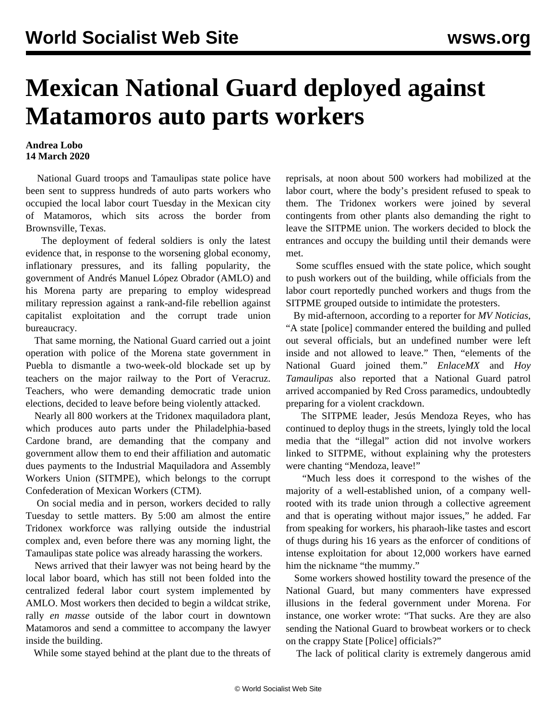## **Mexican National Guard deployed against Matamoros auto parts workers**

## **Andrea Lobo 14 March 2020**

 National Guard troops and Tamaulipas state police have been sent to suppress hundreds of auto parts workers who occupied the local labor court Tuesday in the Mexican city of Matamoros, which sits across the border from Brownsville, Texas.

 The deployment of federal soldiers is only the latest evidence that, in response to the worsening global economy, inflationary pressures, and its falling popularity, the government of Andrés Manuel López Obrador (AMLO) and his Morena party are preparing to employ widespread military repression against a rank-and-file rebellion against capitalist exploitation and the corrupt trade union bureaucracy.

 That same morning, the National Guard carried out a joint operation with police of the Morena state government in Puebla to dismantle a two-week-old [blockade](/en/articles/2020/03/09/mexi-m09.html) set up by teachers on the major railway to the Port of Veracruz. Teachers, who were demanding democratic trade union elections, decided to leave before being violently attacked.

 Nearly all 800 workers at the Tridonex maquiladora plant, which produces auto parts under the Philadelphia-based Cardone brand, are demanding that the company and government allow them to end their affiliation and automatic dues payments to the Industrial Maquiladora and Assembly Workers Union (SITMPE), which belongs to the corrupt Confederation of Mexican Workers (CTM).

 On social media and in person, workers decided to rally Tuesday to settle matters. By 5:00 am almost the entire Tridonex workforce was rallying outside the industrial complex and, even before there was any morning light, the Tamaulipas state police was already harassing the workers.

 News arrived that their lawyer was not being heard by the local labor board, which has still not been folded into the centralized federal labor court system implemented by AMLO. Most workers then decided to begin a wildcat strike, rally *en masse* outside of the labor court in downtown Matamoros and send a committee to accompany the lawyer inside the building.

While some stayed behind at the plant due to the threats of

reprisals, at noon about 500 workers had mobilized at the labor court, where the body's president refused to speak to them. The Tridonex workers were joined by several contingents from other plants also demanding the right to leave the SITPME union. The workers decided to block the entrances and occupy the building until their demands were met.

 Some scuffles ensued with the state police, which sought to push workers out of the building, while officials from the labor court reportedly punched workers and thugs from the SITPME grouped outside to intimidate the protesters.

 By mid-afternoon, according to a reporter for *MV Noticias*, "A state [police] commander entered the building and pulled out several officials, but an undefined number were left inside and not allowed to leave." Then, "elements of the National Guard joined them." *EnlaceMX* and *Hoy Tamaulipas* also reported that a National Guard patrol arrived accompanied by Red Cross paramedics, undoubtedly preparing for a violent crackdown.

 The SITPME leader, Jesús Mendoza Reyes, who has continued to deploy thugs in the streets, lyingly told the local media that the "illegal" action did not involve workers linked to SITPME, without explaining why the protesters were chanting "Mendoza, leave!"

 "Much less does it correspond to the wishes of the majority of a well-established union, of a company wellrooted with its trade union through a collective agreement and that is operating without major issues," he added. Far from speaking for workers, his pharaoh-like tastes and escort of thugs during his 16 years as the enforcer of conditions of intense exploitation for about 12,000 workers have earned him the nickname "the mummy."

 Some workers showed hostility toward the presence of the National Guard, but many commenters have expressed illusions in the federal government under Morena. For instance, one worker wrote: "That sucks. Are they are also sending the National Guard to browbeat workers or to check on the crappy State [Police] officials?"

The lack of political clarity is extremely dangerous amid